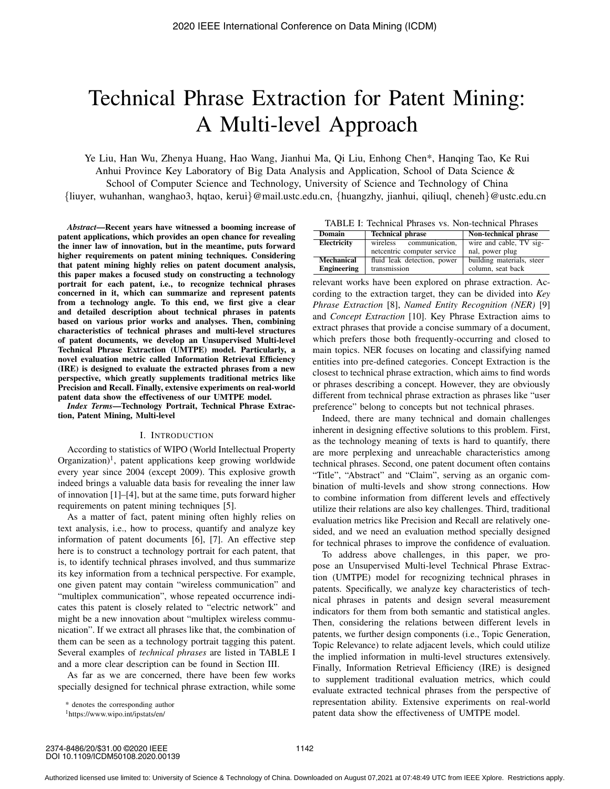# Technical Phrase Extraction for Patent Mining: A Multi-level Approach

Ye Liu, Han Wu, Zhenya Huang, Hao Wang, Jianhui Ma, Qi Liu, Enhong Chen\*, Hanqing Tao, Ke Rui Anhui Province Key Laboratory of Big Data Analysis and Application, School of Data Science & School of Computer Science and Technology, University of Science and Technology of China {liuyer, wuhanhan, wanghao3, hqtao, kerui}@mail.ustc.edu.cn, {huangzhy, jianhui, qiliuql, cheneh}@ustc.edu.cn

*Abstract*—Recent years have witnessed a booming increase of patent applications, which provides an open chance for revealing the inner law of innovation, but in the meantime, puts forward higher requirements on patent mining techniques. Considering that patent mining highly relies on patent document analysis, this paper makes a focused study on constructing a technology portrait for each patent, i.e., to recognize technical phrases concerned in it, which can summarize and represent patents from a technology angle. To this end, we first give a clear and detailed description about technical phrases in patents based on various prior works and analyses. Then, combining characteristics of technical phrases and multi-level structures of patent documents, we develop an Unsupervised Multi-level Technical Phrase Extraction (UMTPE) model. Particularly, a novel evaluation metric called Information Retrieval Efficiency (IRE) is designed to evaluate the extracted phrases from a new perspective, which greatly supplements traditional metrics like Precision and Recall. Finally, extensive experiments on real-world patent data show the effectiveness of our UMTPE model.

*Index Terms*—Technology Portrait, Technical Phrase Extraction, Patent Mining, Multi-level

#### I. INTRODUCTION

According to statistics of WIPO (World Intellectual Property  $Organization$ <sup>1</sup>, patent applications keep growing worldwide every year since 2004 (except 2009). This explosive growth indeed brings a valuable data basis for revealing the inner law of innovation [1]–[4], but at the same time, puts forward higher requirements on patent mining techniques [5].

As a matter of fact, patent mining often highly relies on text analysis, i.e., how to process, quantify and analyze key information of patent documents [6], [7]. An effective step here is to construct a technology portrait for each patent, that is, to identify technical phrases involved, and thus summarize its key information from a technical perspective. For example, one given patent may contain "wireless communication" and "multiplex communication", whose repeated occurrence indicates this patent is closely related to "electric network" and might be a new innovation about "multiplex wireless communication". If we extract all phrases like that, the combination of them can be seen as a technology portrait tagging this patent. Several examples of *technical phrases* are listed in TABLE I and a more clear description can be found in Section III.

As far as we are concerned, there have been few works specially designed for technical phrase extraction, while some

\* denotes the corresponding author

TABLE I: Technical Phrases vs. Non-technical Phrases

| <b>Domain</b>      | <b>Technical phrase</b>     | Non-technical phrase      |
|--------------------|-----------------------------|---------------------------|
| Electricity        | wireless communication,     | wire and cable, TV sig-   |
|                    | netcentric computer service | nal, power plug           |
| Mechanical         | fluid leak detection, power | building materials, steer |
| <b>Engineering</b> | transmission                | column, seat back         |

relevant works have been explored on phrase extraction. According to the extraction target, they can be divided into *Key Phrase Extraction* [8], *Named Entity Recognition (NER)* [9] and *Concept Extraction* [10]. Key Phrase Extraction aims to extract phrases that provide a concise summary of a document, which prefers those both frequently-occurring and closed to main topics. NER focuses on locating and classifying named entities into pre-defined categories. Concept Extraction is the closest to technical phrase extraction, which aims to find words or phrases describing a concept. However, they are obviously different from technical phrase extraction as phrases like "user preference" belong to concepts but not technical phrases.

Indeed, there are many technical and domain challenges inherent in designing effective solutions to this problem. First, as the technology meaning of texts is hard to quantify, there are more perplexing and unreachable characteristics among technical phrases. Second, one patent document often contains "Title", "Abstract" and "Claim", serving as an organic combination of multi-levels and show strong connections. How to combine information from different levels and effectively utilize their relations are also key challenges. Third, traditional evaluation metrics like Precision and Recall are relatively onesided, and we need an evaluation method specially designed for technical phrases to improve the confidence of evaluation.

To address above challenges, in this paper, we propose an Unsupervised Multi-level Technical Phrase Extraction (UMTPE) model for recognizing technical phrases in patents. Specifically, we analyze key characteristics of technical phrases in patents and design several measurement indicators for them from both semantic and statistical angles. Then, considering the relations between different levels in patents, we further design components (i.e., Topic Generation, Topic Relevance) to relate adjacent levels, which could utilize the implied information in multi-level structures extensively. Finally, Information Retrieval Efficiency (IRE) is designed to supplement traditional evaluation metrics, which could evaluate extracted technical phrases from the perspective of representation ability. Extensive experiments on real-world patent data show the effectiveness of UMTPE model.

<sup>1</sup>https://www.wipo.int/ipstats/en/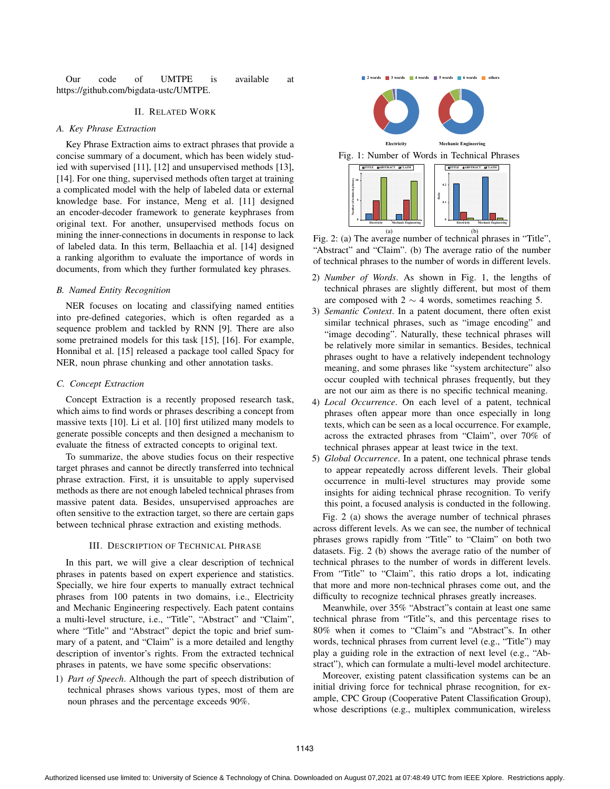Our code of UMTPE is available at https://github.com/bigdata-ustc/UMTPE.

#### II. RELATED WORK

#### *A. Key Phrase Extraction*

Key Phrase Extraction aims to extract phrases that provide a concise summary of a document, which has been widely studied with supervised [11], [12] and unsupervised methods [13], [14]. For one thing, supervised methods often target at training a complicated model with the help of labeled data or external knowledge base. For instance, Meng et al. [11] designed an encoder-decoder framework to generate keyphrases from original text. For another, unsupervised methods focus on mining the inner-connections in documents in response to lack of labeled data. In this term, Bellaachia et al. [14] designed a ranking algorithm to evaluate the importance of words in documents, from which they further formulated key phrases.

#### *B. Named Entity Recognition*

NER focuses on locating and classifying named entities into pre-defined categories, which is often regarded as a sequence problem and tackled by RNN [9]. There are also some pretrained models for this task [15], [16]. For example, Honnibal et al. [15] released a package tool called Spacy for NER, noun phrase chunking and other annotation tasks.

## *C. Concept Extraction*

Concept Extraction is a recently proposed research task, which aims to find words or phrases describing a concept from massive texts [10]. Li et al. [10] first utilized many models to generate possible concepts and then designed a mechanism to evaluate the fitness of extracted concepts to original text.

To summarize, the above studies focus on their respective target phrases and cannot be directly transferred into technical phrase extraction. First, it is unsuitable to apply supervised methods as there are not enough labeled technical phrases from massive patent data. Besides, unsupervised approaches are often sensitive to the extraction target, so there are certain gaps between technical phrase extraction and existing methods.

### III. DESCRIPTION OF TECHNICAL PHRASE

In this part, we will give a clear description of technical phrases in patents based on expert experience and statistics. Specially, we hire four experts to manually extract technical phrases from 100 patents in two domains, i.e., Electricity and Mechanic Engineering respectively. Each patent contains a multi-level structure, i.e., "Title", "Abstract" and "Claim", where "Title" and "Abstract" depict the topic and brief summary of a patent, and "Claim" is a more detailed and lengthy description of inventor's rights. From the extracted technical phrases in patents, we have some specific observations:

1) *Part of Speech*. Although the part of speech distribution of technical phrases shows various types, most of them are noun phrases and the percentage exceeds 90%.



**2** words **3** words **4** words **5 6 words 6** others

Fig. 2: (a) The average number of technical phrases in "Title", "Abstract" and "Claim". (b) The average ratio of the number of technical phrases to the number of words in different levels.

- 2) *Number of Words*. As shown in Fig. 1, the lengths of technical phrases are slightly different, but most of them are composed with  $2 \sim 4$  words, sometimes reaching 5.
- 3) *Semantic Context*. In a patent document, there often exist similar technical phrases, such as "image encoding" and "image decoding". Naturally, these technical phrases will be relatively more similar in semantics. Besides, technical phrases ought to have a relatively independent technology meaning, and some phrases like "system architecture" also occur coupled with technical phrases frequently, but they are not our aim as there is no specific technical meaning.
- 4) *Local Occurrence*. On each level of a patent, technical phrases often appear more than once especially in long texts, which can be seen as a local occurrence. For example, across the extracted phrases from "Claim", over 70% of technical phrases appear at least twice in the text.
- 5) *Global Occurrence*. In a patent, one technical phrase tends to appear repeatedly across different levels. Their global occurrence in multi-level structures may provide some insights for aiding technical phrase recognition. To verify this point, a focused analysis is conducted in the following.

Fig. 2 (a) shows the average number of technical phrases across different levels. As we can see, the number of technical phrases grows rapidly from "Title" to "Claim" on both two datasets. Fig. 2 (b) shows the average ratio of the number of technical phrases to the number of words in different levels. From "Title" to "Claim", this ratio drops a lot, indicating that more and more non-technical phrases come out, and the difficulty to recognize technical phrases greatly increases.

Meanwhile, over 35% "Abstract"s contain at least one same technical phrase from "Title"s, and this percentage rises to 80% when it comes to "Claim"s and "Abstract"s. In other words, technical phrases from current level (e.g., "Title") may play a guiding role in the extraction of next level (e.g., "Abstract"), which can formulate a multi-level model architecture.

Moreover, existing patent classification systems can be an initial driving force for technical phrase recognition, for example, CPC Group (Cooperative Patent Classification Group), whose descriptions (e.g., multiplex communication, wireless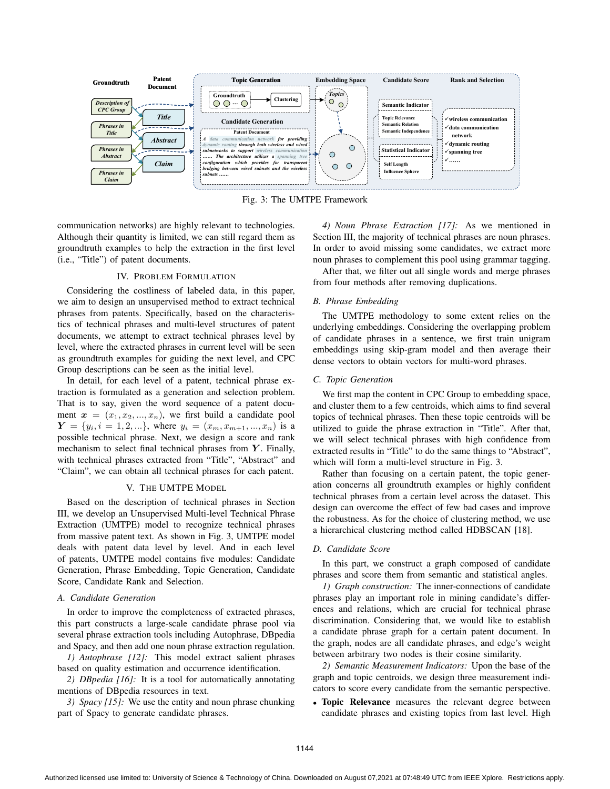

Fig. 3: The UMTPE Framework

communication networks) are highly relevant to technologies. Although their quantity is limited, we can still regard them as groundtruth examples to help the extraction in the first level (i.e., "Title") of patent documents.

#### IV. PROBLEM FORMULATION

Considering the costliness of labeled data, in this paper, we aim to design an unsupervised method to extract technical phrases from patents. Specifically, based on the characteristics of technical phrases and multi-level structures of patent documents, we attempt to extract technical phrases level by level, where the extracted phrases in current level will be seen as groundtruth examples for guiding the next level, and CPC Group descriptions can be seen as the initial level.

In detail, for each level of a patent, technical phrase extraction is formulated as a generation and selection problem. That is to say, given the word sequence of a patent document  $x = (x_1, x_2, ..., x_n)$ , we first build a candidate pool  $Y = \{y_i, i = 1, 2, ...\}$ , where  $y_i = (x_m, x_{m+1}, ..., x_n)$  is a possible technical phrase. Next, we design a score and rank mechanism to select final technical phrases from Y. Finally, with technical phrases extracted from "Title", "Abstract" and "Claim", we can obtain all technical phrases for each patent.

### V. THE UMTPE MODEL

Based on the description of technical phrases in Section III, we develop an Unsupervised Multi-level Technical Phrase Extraction (UMTPE) model to recognize technical phrases from massive patent text. As shown in Fig. 3, UMTPE model deals with patent data level by level. And in each level of patents, UMTPE model contains five modules: Candidate Generation, Phrase Embedding, Topic Generation, Candidate Score, Candidate Rank and Selection.

#### *A. Candidate Generation*

In order to improve the completeness of extracted phrases, this part constructs a large-scale candidate phrase pool via several phrase extraction tools including Autophrase, DBpedia and Spacy, and then add one noun phrase extraction regulation.

*1) Autophrase [12]:* This model extract salient phrases based on quality estimation and occurrence identification.

*2) DBpedia [16]:* It is a tool for automatically annotating mentions of DBpedia resources in text.

*3) Spacy [15]:* We use the entity and noun phrase chunking part of Spacy to generate candidate phrases.

*4) Noun Phrase Extraction [17]:* As we mentioned in Section III, the majority of technical phrases are noun phrases. In order to avoid missing some candidates, we extract more noun phrases to complement this pool using grammar tagging.

After that, we filter out all single words and merge phrases from four methods after removing duplications.

## *B. Phrase Embedding*

The UMTPE methodology to some extent relies on the underlying embeddings. Considering the overlapping problem of candidate phrases in a sentence, we first train unigram embeddings using skip-gram model and then average their dense vectors to obtain vectors for multi-word phrases.

#### *C. Topic Generation*

We first map the content in CPC Group to embedding space, and cluster them to a few centroids, which aims to find several topics of technical phrases. Then these topic centroids will be utilized to guide the phrase extraction in "Title". After that, we will select technical phrases with high confidence from extracted results in "Title" to do the same things to "Abstract", which will form a multi-level structure in Fig. 3.

Rather than focusing on a certain patent, the topic generation concerns all groundtruth examples or highly confident technical phrases from a certain level across the dataset. This design can overcome the effect of few bad cases and improve the robustness. As for the choice of clustering method, we use a hierarchical clustering method called HDBSCAN [18].

#### *D. Candidate Score*

In this part, we construct a graph composed of candidate phrases and score them from semantic and statistical angles.

*1) Graph construction:* The inner-connections of candidate phrases play an important role in mining candidate's differences and relations, which are crucial for technical phrase discrimination. Considering that, we would like to establish a candidate phrase graph for a certain patent document. In the graph, nodes are all candidate phrases, and edge's weight between arbitrary two nodes is their cosine similarity.

*2) Semantic Measurement Indicators:* Upon the base of the graph and topic centroids, we design three measurement indicators to score every candidate from the semantic perspective.

• Topic Relevance measures the relevant degree between candidate phrases and existing topics from last level. High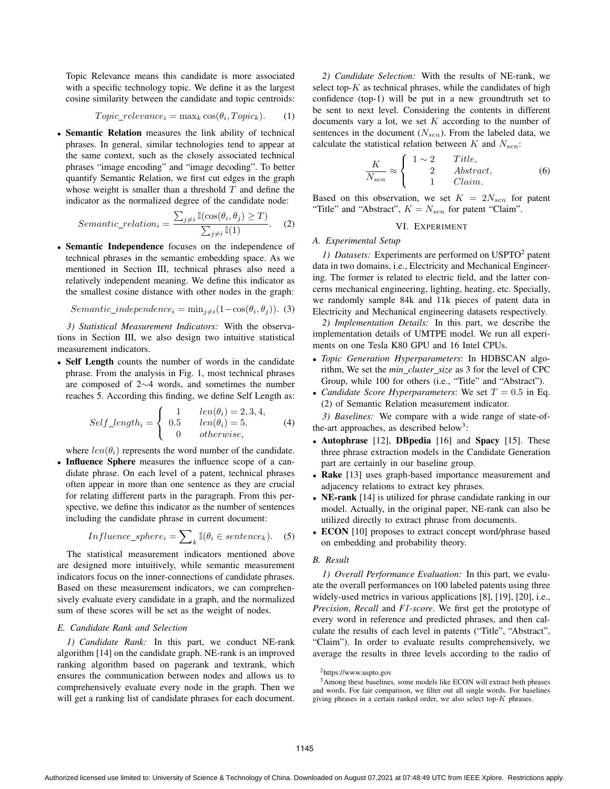Topic Relevance means this candidate is more associated with a specific technology topic. We define it as the largest cosine similarity between the candidate and topic centroids:

$$
Topic\_relevance_i = \max_k \cos(\theta_i, Topic_k). \tag{1}
$$

• Semantic Relation measures the link ability of technical phrases. In general, similar technologies tend to appear at the same context, such as the closely associated technical phrases "image encoding" and "image decoding". To better quantify Semantic Relation, we first cut edges in the graph whose weight is smaller than a threshold  $T$  and define the indicator as the normalized degree of the candidate node:

$$
Sematic\_relation_i = \frac{\sum_{j \neq i} \mathbb{I}(\cos(\theta_i, \theta_j) \ge T)}{\sum_{j \neq i} \mathbb{I}(1)}.
$$
 (2)

• Semantic Independence focuses on the independence of technical phrases in the semantic embedding space. As we mentioned in Section III, technical phrases also need a relatively independent meaning. We define this indicator as the smallest cosine distance with other nodes in the graph:

$$
Sematic\_independence_i = \min_{j \neq i} (1 - \cos(\theta_i, \theta_j)).
$$
 (3)

*3) Statistical Measurement Indicators:* With the observations in Section III, we also design two intuitive statistical measurement indicators.

• Self Length counts the number of words in the candidate phrase. From the analysis in Fig. 1, most technical phrases are composed of 2∼4 words, and sometimes the number reaches 5. According this finding, we define Self Length as:

$$
Self\_length_i = \begin{cases} 1 & len(\theta_i) = 2, 3, 4, \\ 0.5 & len(\theta_i) = 5, \\ 0 & otherwise, \end{cases}
$$
 (4)

where  $len(\theta_i)$  represents the word number of the candidate.

• Influence Sphere measures the influence scope of a candidate phrase. On each level of a patent, technical phrases often appear in more than one sentence as they are crucial for relating different parts in the paragraph. From this perspective, we define this indicator as the number of sentences including the candidate phrase in current document:

$$
Influence\_sphere_i = \sum_{k} \mathbb{I}(\theta_i \in sentence_k). \quad (5)
$$

The statistical measurement indicators mentioned above are designed more intuitively, while semantic measurement indicators focus on the inner-connections of candidate phrases. Based on these measurement indicators, we can comprehensively evaluate every candidate in a graph, and the normalized sum of these scores will be set as the weight of nodes.

#### *E. Candidate Rank and Selection*

*1) Candidate Rank:* In this part, we conduct NE-rank algorithm [14] on the candidate graph. NE-rank is an improved ranking algorithm based on pagerank and textrank, which ensures the communication between nodes and allows us to comprehensively evaluate every node in the graph. Then we will get a ranking list of candidate phrases for each document.

*2) Candidate Selection:* With the results of NE-rank, we select top- $K$  as technical phrases, while the candidates of high confidence (top-1) will be put in a new groundtruth set to be sent to next level. Considering the contents in different documents vary a lot, we set  $K$  according to the number of sentences in the document  $(N_{sen})$ . From the labeled data, we calculate the statistical relation between  $K$  and  $N_{sen}$ :

$$
\frac{K}{N_{sen}} \approx \begin{cases}\n1 \sim 2 & Title, \\
2 & Abstract, \\
1 & Claim.\n\end{cases}
$$
\n(6)

Based on this observation, we set  $K = 2N<sub>sen</sub>$  for patent "Title" and "Abstract",  $K = N_{sen}$  for patent "Claim".

## VI. EXPERIMENT

#### *A. Experimental Setup*

*1) Datasets:* Experiments are performed on USPTO<sup>2</sup> patent data in two domains, i.e., Electricity and Mechanical Engineering. The former is related to electric field, and the latter concerns mechanical engineering, lighting, heating, etc. Specially, we randomly sample 84k and 11k pieces of patent data in Electricity and Mechanical engineering datasets respectively.

*2) Implementation Details:* In this part, we describe the implementation details of UMTPE model. We run all experiments on one Tesla K80 GPU and 16 Intel CPUs.

- *Topic Generation Hyperparameters*: In HDBSCAN algorithm, We set the *min cluster size* as 3 for the level of CPC Group, while 100 for others (i.e., "Title" and "Abstract").
- *Candidate Score Hyperparameters*: We set  $T = 0.5$  in Eq. (2) of Semantic Relation measurement indicator.

*3) Baselines:* We compare with a wide range of state-ofthe-art approaches, as described below<sup>3</sup>:

- Autophrase [12], DBpedia [16] and Spacy [15]. These three phrase extraction models in the Candidate Generation part are certainly in our baseline group.
- Rake [13] uses graph-based importance measurement and adjacency relations to extract key phrases.
- NE-rank [14] is utilized for phrase candidate ranking in our model. Actually, in the original paper, NE-rank can also be utilized directly to extract phrase from documents.
- ECON [10] proposes to extract concept word/phrase based on embedding and probability theory.

### *B. Result*

*1) Overall Performance Evaluation:* In this part, we evaluate the overall performances on 100 labeled patents using three widely-used metrics in various applications [8], [19], [20], i.e., *Precision*, *Recall* and *F1-score*. We first get the prototype of every word in reference and predicted phrases, and then calculate the results of each level in patents ("Title", "Abstract", "Claim"). In order to evaluate results comprehensively, we average the results in three levels according to the radio of

3Among these baselines, some models like ECON will extract both phrases and words. For fair comparison, we filter out all single words. For baselines giving phrases in a certain ranked order, we also select top- $K$  phrases.

<sup>&</sup>lt;sup>2</sup>https://www.uspto.gov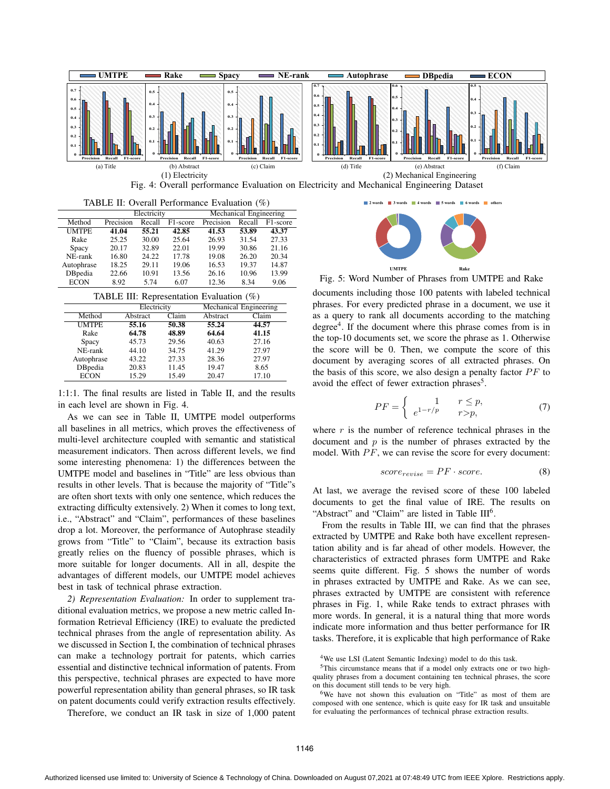

|  |  | TABLE II: Overall Performance Evaluation (%) |  |  |
|--|--|----------------------------------------------|--|--|
|--|--|----------------------------------------------|--|--|

|                 | Electricity |        |          | Mechanical Engineering |        |                       |
|-----------------|-------------|--------|----------|------------------------|--------|-----------------------|
| Method          | Precision   | Recall | F1-score | Precision              | Recall | F <sub>1</sub> -score |
| <b>UMTPE</b>    | 41.04       | 55.21  | 42.85    | 41.53                  | 53.89  | 43.37                 |
| Rake            | 25.25       | 30.00  | 25.64    | 26.93                  | 31.54  | 27.33                 |
| Spacy           | 20.17       | 32.89  | 22.01    | 19.99                  | 30.86  | 21.16                 |
| NE-rank         | 16.80       | 24.22  | 17.78    | 19.08                  | 26.20  | 20.34                 |
| Autophrase      | 18.25       | 29.11  | 19.06    | 16.53                  | 19.37  | 14.87                 |
| <b>DB</b> pedia | 22.66       | 10.91  | 13.56    | 26.16                  | 10.96  | 13.99                 |
| <b>ECON</b>     | 8.92        | 5.74   | 6.07     | 12.36                  | 8.34   | 9.06                  |

TABLE III: Representation Evaluation  $(\%)$ 

| $\mu$ and $\mu$ . Approximation Evaluation ( $\ell$ ) |             |       |                        |       |
|-------------------------------------------------------|-------------|-------|------------------------|-------|
|                                                       | Electricity |       | Mechanical Engineering |       |
| Method                                                | Abstract    | Claim | Abstract               | Claim |
| <b>UMTPE</b>                                          | 55.16       | 50.38 | 55.24                  | 44.57 |
| Rake                                                  | 64.78       | 48.89 | 64.64                  | 41.15 |
| Spacy                                                 | 45.73       | 29.56 | 40.63                  | 27.16 |
| NE-rank                                               | 44.10       | 34.75 | 41.29                  | 27.97 |
| Autophrase                                            | 43.22       | 27.33 | 28.36                  | 27.97 |
| <b>DB</b> pedia                                       | 20.83       | 11.45 | 19.47                  | 8.65  |
| <b>ECON</b>                                           | 15.29       | 15.49 | 20.47                  | 17.10 |

1:1:1. The final results are listed in Table II, and the results in each level are shown in Fig. 4.

As we can see in Table II, UMTPE model outperforms all baselines in all metrics, which proves the effectiveness of multi-level architecture coupled with semantic and statistical measurement indicators. Then across different levels, we find some interesting phenomena: 1) the differences between the UMTPE model and baselines in "Title" are less obvious than results in other levels. That is because the majority of "Title"s are often short texts with only one sentence, which reduces the extracting difficulty extensively. 2) When it comes to long text, i.e., "Abstract" and "Claim", performances of these baselines drop a lot. Moreover, the performance of Autophrase steadily grows from "Title" to "Claim", because its extraction basis greatly relies on the fluency of possible phrases, which is more suitable for longer documents. All in all, despite the advantages of different models, our UMTPE model achieves best in task of technical phrase extraction.

*2) Representation Evaluation:* In order to supplement traditional evaluation metrics, we propose a new metric called Information Retrieval Efficiency (IRE) to evaluate the predicted technical phrases from the angle of representation ability. As we discussed in Section I, the combination of technical phrases can make a technology portrait for patents, which carries essential and distinctive technical information of patents. From this perspective, technical phrases are expected to have more powerful representation ability than general phrases, so IR task on patent documents could verify extraction results effectively.

Therefore, we conduct an IR task in size of 1,000 patent

**2** words **6** 3 words **4** words **6** 5 words



Fig. 5: Word Number of Phrases from UMTPE and Rake

documents including those 100 patents with labeled technical phrases. For every predicted phrase in a document, we use it as a query to rank all documents according to the matching degree $4$ . If the document where this phrase comes from is in the top-10 documents set, we score the phrase as 1. Otherwise the score will be 0. Then, we compute the score of this document by averaging scores of all extracted phrases. On the basis of this score, we also design a penalty factor  $PF$  to avoid the effect of fewer extraction phrases $5$ .

$$
PF = \begin{cases} 1 & r \le p, \\ e^{1-r/p} & r > p, \end{cases}
$$
 (7)

where  $r$  is the number of reference technical phrases in the document and  $p$  is the number of phrases extracted by the model. With  $PF$ , we can revise the score for every document:

$$
score_{revise} = PF \cdot score. \tag{8}
$$

At last, we average the revised score of these 100 labeled documents to get the final value of IRE. The results on "Abstract" and "Claim" are listed in Table  $III<sup>6</sup>$ .

From the results in Table III, we can find that the phrases extracted by UMTPE and Rake both have excellent representation ability and is far ahead of other models. However, the characteristics of extracted phrases form UMTPE and Rake seems quite different. Fig. 5 shows the number of words in phrases extracted by UMTPE and Rake. As we can see, phrases extracted by UMTPE are consistent with reference phrases in Fig. 1, while Rake tends to extract phrases with more words. In general, it is a natural thing that more words indicate more information and thus better performance for IR tasks. Therefore, it is explicable that high performance of Rake

<sup>&</sup>lt;sup>4</sup>We use LSI (Latent Semantic Indexing) model to do this task.

<sup>&</sup>lt;sup>5</sup>This circumstance means that if a model only extracts one or two highquality phrases from a document containing ten technical phrases, the score on this document still tends to be very high.

<sup>6</sup>We have not shown this evaluation on "Title" as most of them are composed with one sentence, which is quite easy for IR task and unsuitable for evaluating the performances of technical phrase extraction results.